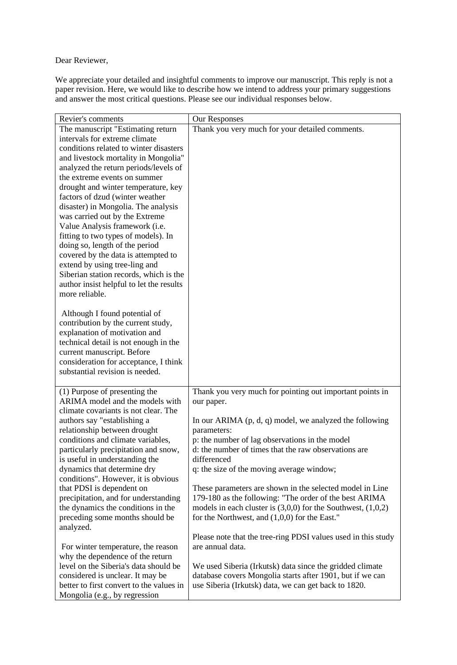Dear Reviewer,

We appreciate your detailed and insightful comments to improve our manuscript. This reply is not a paper revision. Here, we would like to describe how we intend to address your primary suggestions and answer the most critical questions. Please see our individual responses below.

| Revier's comments                                                         | Our Responses                                                    |
|---------------------------------------------------------------------------|------------------------------------------------------------------|
| The manuscript "Estimating return                                         | Thank you very much for your detailed comments.                  |
| intervals for extreme climate                                             |                                                                  |
| conditions related to winter disasters                                    |                                                                  |
| and livestock mortality in Mongolia"                                      |                                                                  |
| analyzed the return periods/levels of                                     |                                                                  |
| the extreme events on summer                                              |                                                                  |
| drought and winter temperature, key                                       |                                                                  |
| factors of dzud (winter weather                                           |                                                                  |
| disaster) in Mongolia. The analysis                                       |                                                                  |
| was carried out by the Extreme                                            |                                                                  |
| Value Analysis framework (i.e.                                            |                                                                  |
| fitting to two types of models). In                                       |                                                                  |
| doing so, length of the period                                            |                                                                  |
| covered by the data is attempted to                                       |                                                                  |
| extend by using tree-ling and                                             |                                                                  |
| Siberian station records, which is the                                    |                                                                  |
| author insist helpful to let the results                                  |                                                                  |
| more reliable.                                                            |                                                                  |
|                                                                           |                                                                  |
| Although I found potential of<br>contribution by the current study,       |                                                                  |
| explanation of motivation and                                             |                                                                  |
| technical detail is not enough in the                                     |                                                                  |
| current manuscript. Before                                                |                                                                  |
| consideration for acceptance, I think                                     |                                                                  |
| substantial revision is needed.                                           |                                                                  |
|                                                                           |                                                                  |
| (1) Purpose of presenting the                                             | Thank you very much for pointing out important points in         |
| ARIMA model and the models with                                           | our paper.                                                       |
| climate covariants is not clear. The                                      |                                                                  |
| authors say "establishing a                                               | In our ARIMA $(p, d, q)$ model, we analyzed the following        |
| relationship between drought                                              | parameters:                                                      |
| conditions and climate variables,                                         | p: the number of lag observations in the model                   |
| particularly precipitation and snow,                                      | d: the number of times that the raw observations are             |
| is useful in understanding the                                            | differenced                                                      |
| dynamics that determine dry                                               | q: the size of the moving average window;                        |
| conditions". However, it is obvious                                       |                                                                  |
| that PDSI is dependent on                                                 | These parameters are shown in the selected model in Line         |
| precipitation, and for understanding                                      | 179-180 as the following: "The order of the best ARIMA           |
| the dynamics the conditions in the                                        | models in each cluster is $(3,0,0)$ for the Southwest, $(1,0,2)$ |
| preceding some months should be                                           | for the Northwest, and $(1,0,0)$ for the East."                  |
| analyzed.                                                                 | Please note that the tree-ring PDSI values used in this study    |
|                                                                           | are annual data.                                                 |
| For winter temperature, the reason                                        |                                                                  |
| why the dependence of the return<br>level on the Siberia's data should be | We used Siberia (Irkutsk) data since the gridded climate         |
| considered is unclear. It may be                                          | database covers Mongolia starts after 1901, but if we can        |
| better to first convert to the values in                                  | use Siberia (Irkutsk) data, we can get back to 1820.             |
| Mongolia (e.g., by regression                                             |                                                                  |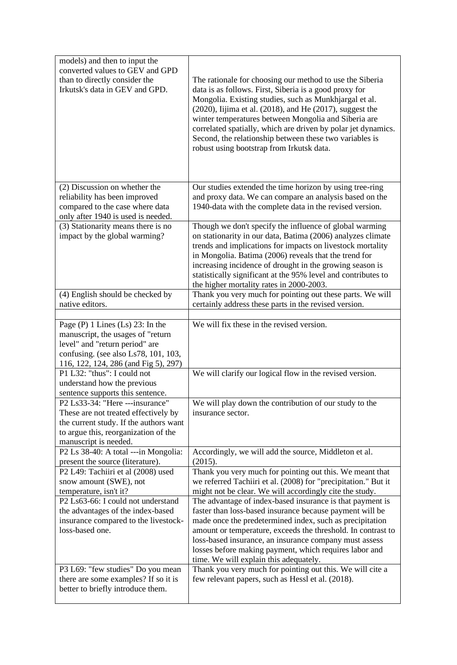| models) and then to input the<br>converted values to GEV and GPD<br>than to directly consider the<br>Irkutsk's data in GEV and GPD.                                                         | The rationale for choosing our method to use the Siberia<br>data is as follows. First, Siberia is a good proxy for<br>Mongolia. Existing studies, such as Munkhjargal et al.<br>$(2020)$ , Iijima et al. $(2018)$ , and He $(2017)$ , suggest the<br>winter temperatures between Mongolia and Siberia are<br>correlated spatially, which are driven by polar jet dynamics.<br>Second, the relationship between these two variables is<br>robust using bootstrap from Irkutsk data. |
|---------------------------------------------------------------------------------------------------------------------------------------------------------------------------------------------|------------------------------------------------------------------------------------------------------------------------------------------------------------------------------------------------------------------------------------------------------------------------------------------------------------------------------------------------------------------------------------------------------------------------------------------------------------------------------------|
| (2) Discussion on whether the<br>reliability has been improved<br>compared to the case where data<br>only after 1940 is used is needed.                                                     | Our studies extended the time horizon by using tree-ring<br>and proxy data. We can compare an analysis based on the<br>1940-data with the complete data in the revised version.                                                                                                                                                                                                                                                                                                    |
| (3) Stationarity means there is no<br>impact by the global warming?                                                                                                                         | Though we don't specify the influence of global warming<br>on stationarity in our data, Batima (2006) analyzes climate<br>trends and implications for impacts on livestock mortality<br>in Mongolia. Batima (2006) reveals that the trend for<br>increasing incidence of drought in the growing season is<br>statistically significant at the 95% level and contributes to<br>the higher mortality rates in 2000-2003.                                                             |
| (4) English should be checked by<br>native editors.                                                                                                                                         | Thank you very much for pointing out these parts. We will<br>certainly address these parts in the revised version.                                                                                                                                                                                                                                                                                                                                                                 |
| Page $(P)$ 1 Lines $(Ls)$ 23: In the<br>manuscript, the usages of "return<br>level" and "return period" are<br>confusing. (see also Ls78, 101, 103,<br>116, 122, 124, 286 (and Fig 5), 297) | We will fix these in the revised version.                                                                                                                                                                                                                                                                                                                                                                                                                                          |
| P1 L32: "thus": I could not<br>understand how the previous<br>sentence supports this sentence.                                                                                              | We will clarify our logical flow in the revised version.                                                                                                                                                                                                                                                                                                                                                                                                                           |
| P2 Ls33-34: "Here ---insurance"<br>These are not treated effectively by<br>the current study. If the authors want<br>to argue this, reorganization of the<br>manuscript is needed.          | We will play down the contribution of our study to the<br>insurance sector.                                                                                                                                                                                                                                                                                                                                                                                                        |
| P2 Ls 38-40: A total ---in Mongolia:<br>present the source (literature).                                                                                                                    | Accordingly, we will add the source, Middleton et al.<br>(2015).                                                                                                                                                                                                                                                                                                                                                                                                                   |
| P2 L49: Tachiiri et al (2008) used<br>snow amount (SWE), not<br>temperature, isn't it?                                                                                                      | Thank you very much for pointing out this. We meant that<br>we referred Tachiiri et al. (2008) for "precipitation." But it<br>might not be clear. We will accordingly cite the study.                                                                                                                                                                                                                                                                                              |
| P <sub>2</sub> Ls63-66: I could not understand<br>the advantages of the index-based<br>insurance compared to the livestock-<br>loss-based one.                                              | The advantage of index-based insurance is that payment is<br>faster than loss-based insurance because payment will be<br>made once the predetermined index, such as precipitation<br>amount or temperature, exceeds the threshold. In contrast to<br>loss-based insurance, an insurance company must assess<br>losses before making payment, which requires labor and<br>time. We will explain this adequately.                                                                    |
| P3 L69: "few studies" Do you mean<br>there are some examples? If so it is<br>better to briefly introduce them.                                                                              | Thank you very much for pointing out this. We will cite a<br>few relevant papers, such as Hessl et al. (2018).                                                                                                                                                                                                                                                                                                                                                                     |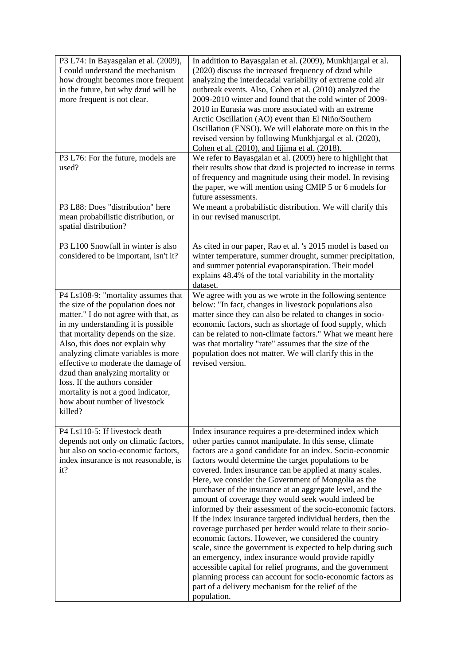| P3 L74: In Bayasgalan et al. (2009),<br>I could understand the mechanism<br>how drought becomes more frequent<br>in the future, but why dzud will be<br>more frequent is not clear.                                                                                                                                                                                                                                                                                      | In addition to Bayasgalan et al. (2009), Munkhjargal et al.<br>(2020) discuss the increased frequency of dzud while<br>analyzing the interdecadal variability of extreme cold air<br>outbreak events. Also, Cohen et al. (2010) analyzed the<br>2009-2010 winter and found that the cold winter of 2009-<br>2010 in Eurasia was more associated with an extreme<br>Arctic Oscillation (AO) event than El Niño/Southern<br>Oscillation (ENSO). We will elaborate more on this in the<br>revised version by following Munkhjargal et al. (2020),<br>Cohen et al. (2010), and Iijima et al. (2018).                                                                                                                                                                                                                                                                                                                                                                                                                                                       |
|--------------------------------------------------------------------------------------------------------------------------------------------------------------------------------------------------------------------------------------------------------------------------------------------------------------------------------------------------------------------------------------------------------------------------------------------------------------------------|--------------------------------------------------------------------------------------------------------------------------------------------------------------------------------------------------------------------------------------------------------------------------------------------------------------------------------------------------------------------------------------------------------------------------------------------------------------------------------------------------------------------------------------------------------------------------------------------------------------------------------------------------------------------------------------------------------------------------------------------------------------------------------------------------------------------------------------------------------------------------------------------------------------------------------------------------------------------------------------------------------------------------------------------------------|
| P3 L76: For the future, models are<br>used?                                                                                                                                                                                                                                                                                                                                                                                                                              | We refer to Bayasgalan et al. (2009) here to highlight that<br>their results show that dzud is projected to increase in terms<br>of frequency and magnitude using their model. In revising<br>the paper, we will mention using CMIP 5 or 6 models for<br>future assessments.                                                                                                                                                                                                                                                                                                                                                                                                                                                                                                                                                                                                                                                                                                                                                                           |
| P3 L88: Does "distribution" here<br>mean probabilistic distribution, or<br>spatial distribution?                                                                                                                                                                                                                                                                                                                                                                         | We meant a probabilistic distribution. We will clarify this<br>in our revised manuscript.                                                                                                                                                                                                                                                                                                                                                                                                                                                                                                                                                                                                                                                                                                                                                                                                                                                                                                                                                              |
| P3 L100 Snowfall in winter is also<br>considered to be important, isn't it?                                                                                                                                                                                                                                                                                                                                                                                              | As cited in our paper, Rao et al. 's 2015 model is based on<br>winter temperature, summer drought, summer precipitation,<br>and summer potential evaporanspiration. Their model<br>explains 48.4% of the total variability in the mortality<br>dataset.                                                                                                                                                                                                                                                                                                                                                                                                                                                                                                                                                                                                                                                                                                                                                                                                |
| P4 Ls108-9: "mortality assumes that<br>the size of the population does not<br>matter." I do not agree with that, as<br>in my understanding it is possible<br>that mortality depends on the size.<br>Also, this does not explain why<br>analyzing climate variables is more<br>effective to moderate the damage of<br>dzud than analyzing mortality or<br>loss. If the authors consider<br>mortality is not a good indicator,<br>how about number of livestock<br>killed? | We agree with you as we wrote in the following sentence<br>below: "In fact, changes in livestock populations also<br>matter since they can also be related to changes in socio-<br>economic factors, such as shortage of food supply, which<br>can be related to non-climate factors." What we meant here<br>was that mortality "rate" assumes that the size of the<br>population does not matter. We will clarify this in the<br>revised version.                                                                                                                                                                                                                                                                                                                                                                                                                                                                                                                                                                                                     |
| P4 Ls110-5: If livestock death<br>depends not only on climatic factors,<br>but also on socio-economic factors,<br>index insurance is not reasonable, is<br>it?                                                                                                                                                                                                                                                                                                           | Index insurance requires a pre-determined index which<br>other parties cannot manipulate. In this sense, climate<br>factors are a good candidate for an index. Socio-economic<br>factors would determine the target populations to be<br>covered. Index insurance can be applied at many scales.<br>Here, we consider the Government of Mongolia as the<br>purchaser of the insurance at an aggregate level, and the<br>amount of coverage they would seek would indeed be<br>informed by their assessment of the socio-economic factors.<br>If the index insurance targeted individual herders, then the<br>coverage purchased per herder would relate to their socio-<br>economic factors. However, we considered the country<br>scale, since the government is expected to help during such<br>an emergency, index insurance would provide rapidly<br>accessible capital for relief programs, and the government<br>planning process can account for socio-economic factors as<br>part of a delivery mechanism for the relief of the<br>population. |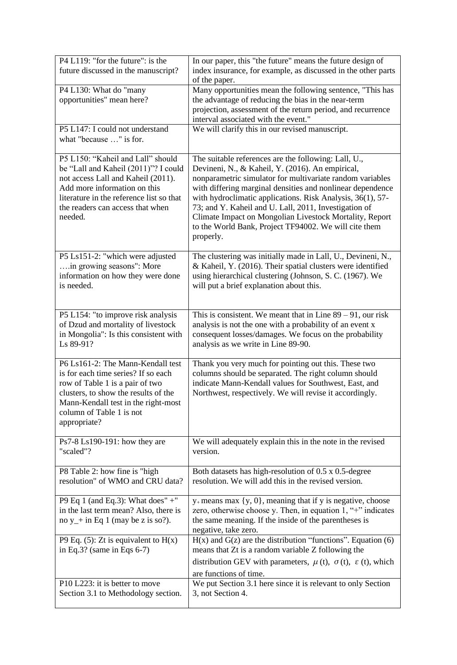| P4 L119: "for the future": is the<br>future discussed in the manuscript?                                                                                                                                                                   | In our paper, this "the future" means the future design of<br>index insurance, for example, as discussed in the other parts<br>of the paper.                                                                                                                                                                                                                                                                                                                                                |
|--------------------------------------------------------------------------------------------------------------------------------------------------------------------------------------------------------------------------------------------|---------------------------------------------------------------------------------------------------------------------------------------------------------------------------------------------------------------------------------------------------------------------------------------------------------------------------------------------------------------------------------------------------------------------------------------------------------------------------------------------|
| P4 L130: What do "many<br>opportunities" mean here?                                                                                                                                                                                        | Many opportunities mean the following sentence, "This has<br>the advantage of reducing the bias in the near-term<br>projection, assessment of the return period, and recurrence<br>interval associated with the event."                                                                                                                                                                                                                                                                     |
| P5 L147: I could not understand<br>what "because " is for.                                                                                                                                                                                 | We will clarify this in our revised manuscript.                                                                                                                                                                                                                                                                                                                                                                                                                                             |
| P5 L150: "Kaheil and Lall" should<br>be "Lall and Kaheil (2011)"? I could<br>not access Lall and Kaheil (2011).<br>Add more information on this<br>literature in the reference list so that<br>the readers can access that when<br>needed. | The suitable references are the following: Lall, U.,<br>Devineni, N., & Kaheil, Y. (2016). An empirical,<br>nonparametric simulator for multivariate random variables<br>with differing marginal densities and nonlinear dependence<br>with hydroclimatic applications. Risk Analysis, 36(1), 57-<br>73; and Y. Kaheil and U. Lall, 2011, Investigation of<br>Climate Impact on Mongolian Livestock Mortality, Report<br>to the World Bank, Project TF94002. We will cite them<br>properly. |
| P5 Ls151-2: "which were adjusted<br>in growing seasons": More<br>information on how they were done<br>is needed.                                                                                                                           | The clustering was initially made in Lall, U., Devineni, N.,<br>& Kaheil, Y. (2016). Their spatial clusters were identified<br>using hierarchical clustering (Johnson, S. C. (1967). We<br>will put a brief explanation about this.                                                                                                                                                                                                                                                         |
| P5 L154: "to improve risk analysis<br>of Dzud and mortality of livestock<br>in Mongolia": Is this consistent with<br>Ls 89-91?                                                                                                             | This is consistent. We meant that in Line $89 - 91$ , our risk<br>analysis is not the one with a probability of an event x<br>consequent losses/damages. We focus on the probability<br>analysis as we write in Line 89-90.                                                                                                                                                                                                                                                                 |
| P6 Ls161-2: The Mann-Kendall test<br>is for each time series? If so each<br>row of Table 1 is a pair of two<br>clusters, to show the results of the<br>Mann-Kendall test in the right-most<br>column of Table 1 is not<br>appropriate?     | Thank you very much for pointing out this. These two<br>columns should be separated. The right column should<br>indicate Mann-Kendall values for Southwest, East, and<br>Northwest, respectively. We will revise it accordingly.                                                                                                                                                                                                                                                            |
| $Ps7-8$ Ls190-191: how they are<br>"scaled"?                                                                                                                                                                                               | We will adequately explain this in the note in the revised<br>version.                                                                                                                                                                                                                                                                                                                                                                                                                      |
| P8 Table 2: how fine is "high<br>resolution" of WMO and CRU data?                                                                                                                                                                          | Both datasets has high-resolution of 0.5 x 0.5-degree<br>resolution. We will add this in the revised version.                                                                                                                                                                                                                                                                                                                                                                               |
| P9 Eq 1 (and Eq.3): What does" $+$ "<br>in the last term mean? Also, there is<br>no $y$ + in Eq 1 (may be z is so?).                                                                                                                       | $y_+$ means max $\{y, 0\}$ , meaning that if y is negative, choose<br>zero, otherwise choose y. Then, in equation 1, "+" indicates<br>the same meaning. If the inside of the parentheses is<br>negative, take zero.                                                                                                                                                                                                                                                                         |
| P9 Eq. $(5)$ : Zt is equivalent to H(x)<br>in Eq.3? (same in Eqs $6-7$ )                                                                                                                                                                   | $H(x)$ and $G(z)$ are the distribution "functions". Equation (6)<br>means that Zt is a random variable Z following the<br>distribution GEV with parameters, $\mu$ (t), $\sigma$ (t), $\varepsilon$ (t), which<br>are functions of time.                                                                                                                                                                                                                                                     |
| P10 L223: it is better to move<br>Section 3.1 to Methodology section.                                                                                                                                                                      | We put Section 3.1 here since it is relevant to only Section<br>3, not Section 4.                                                                                                                                                                                                                                                                                                                                                                                                           |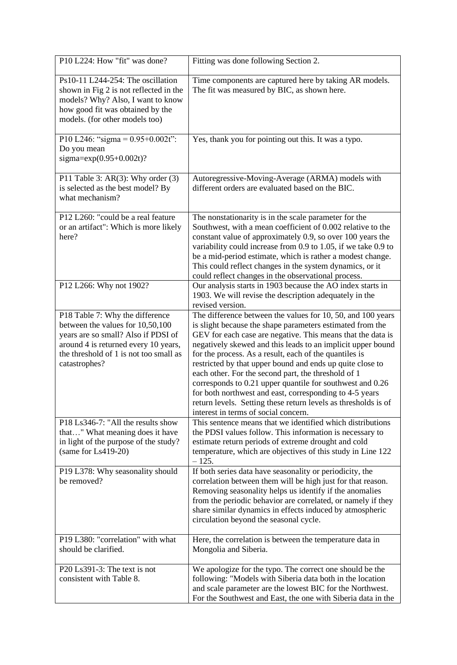| P10 L224: How "fit" was done?                                                                                                                                                                                 | Fitting was done following Section 2.                                                                                                                                                                                                                                                                                                                                                                                                                                                                                                                                                                                                                                  |
|---------------------------------------------------------------------------------------------------------------------------------------------------------------------------------------------------------------|------------------------------------------------------------------------------------------------------------------------------------------------------------------------------------------------------------------------------------------------------------------------------------------------------------------------------------------------------------------------------------------------------------------------------------------------------------------------------------------------------------------------------------------------------------------------------------------------------------------------------------------------------------------------|
| Ps10-11 L244-254: The oscillation<br>shown in Fig 2 is not reflected in the<br>models? Why? Also, I want to know<br>how good fit was obtained by the<br>models. (for other models too)                        | Time components are captured here by taking AR models.<br>The fit was measured by BIC, as shown here.                                                                                                                                                                                                                                                                                                                                                                                                                                                                                                                                                                  |
| P10 L246: "sigma = $0.95+0.002t$ ":<br>Do you mean<br>sigma= $exp(0.95+0.002t)$ ?                                                                                                                             | Yes, thank you for pointing out this. It was a typo.                                                                                                                                                                                                                                                                                                                                                                                                                                                                                                                                                                                                                   |
| P11 Table 3: AR(3): Why order $(3)$<br>is selected as the best model? By<br>what mechanism?                                                                                                                   | Autoregressive-Moving-Average (ARMA) models with<br>different orders are evaluated based on the BIC.                                                                                                                                                                                                                                                                                                                                                                                                                                                                                                                                                                   |
| P12 L260: "could be a real feature<br>or an artifact": Which is more likely<br>here?                                                                                                                          | The nonstationarity is in the scale parameter for the<br>Southwest, with a mean coefficient of 0.002 relative to the<br>constant value of approximately 0.9, so over 100 years the<br>variability could increase from 0.9 to 1.05, if we take 0.9 to<br>be a mid-period estimate, which is rather a modest change.<br>This could reflect changes in the system dynamics, or it<br>could reflect changes in the observational process.                                                                                                                                                                                                                                  |
| P12 L266: Why not 1902?                                                                                                                                                                                       | Our analysis starts in 1903 because the AO index starts in<br>1903. We will revise the description adequately in the<br>revised version.                                                                                                                                                                                                                                                                                                                                                                                                                                                                                                                               |
| P18 Table 7: Why the difference<br>between the values for 10,50,100<br>years are so small? Also if PDSI of<br>around 4 is returned every 10 years,<br>the threshold of 1 is not too small as<br>catastrophes? | The difference between the values for 10, 50, and 100 years<br>is slight because the shape parameters estimated from the<br>GEV for each case are negative. This means that the data is<br>negatively skewed and this leads to an implicit upper bound<br>for the process. As a result, each of the quantiles is<br>restricted by that upper bound and ends up quite close to<br>each other. For the second part, the threshold of 1<br>corresponds to 0.21 upper quantile for southwest and 0.26<br>for both northwest and east, corresponding to 4-5 years<br>return levels. Setting these return levels as thresholds is of<br>interest in terms of social concern. |
| P18 Ls346-7: "All the results show<br>that" What meaning does it have<br>in light of the purpose of the study?<br>$(same for Ls419-20)$                                                                       | This sentence means that we identified which distributions<br>the PDSI values follow. This information is necessary to<br>estimate return periods of extreme drought and cold<br>temperature, which are objectives of this study in Line 122<br>$-125.$                                                                                                                                                                                                                                                                                                                                                                                                                |
| P19 L378: Why seasonality should<br>be removed?                                                                                                                                                               | If both series data have seasonality or periodicity, the<br>correlation between them will be high just for that reason.<br>Removing seasonality helps us identify if the anomalies<br>from the periodic behavior are correlated, or namely if they<br>share similar dynamics in effects induced by atmospheric<br>circulation beyond the seasonal cycle.                                                                                                                                                                                                                                                                                                               |
| P19 L380: "correlation" with what<br>should be clarified.                                                                                                                                                     | Here, the correlation is between the temperature data in<br>Mongolia and Siberia.                                                                                                                                                                                                                                                                                                                                                                                                                                                                                                                                                                                      |
| P20 Ls391-3: The text is not<br>consistent with Table 8.                                                                                                                                                      | We apologize for the typo. The correct one should be the<br>following: "Models with Siberia data both in the location<br>and scale parameter are the lowest BIC for the Northwest.<br>For the Southwest and East, the one with Siberia data in the                                                                                                                                                                                                                                                                                                                                                                                                                     |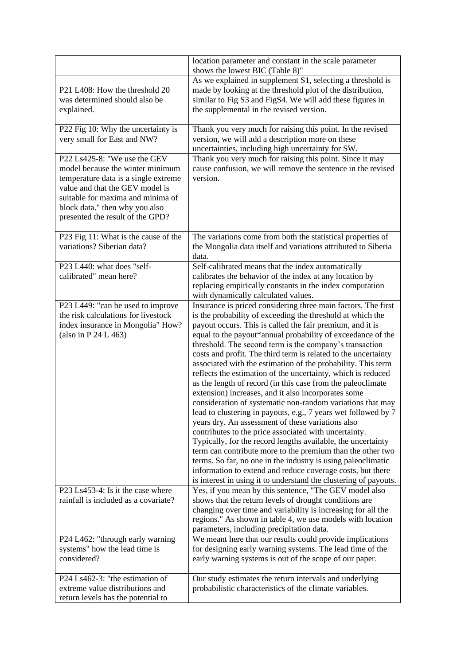|                                                                                                                                                                                                                                                        | location parameter and constant in the scale parameter<br>shows the lowest BIC (Table 8)"                                                                                                                                                                                                                                                                                                                                                                                                                                                                                                                                                                                                                                                                                                                                                                                                                                                                                                                                                                                                                                                                                                                                |
|--------------------------------------------------------------------------------------------------------------------------------------------------------------------------------------------------------------------------------------------------------|--------------------------------------------------------------------------------------------------------------------------------------------------------------------------------------------------------------------------------------------------------------------------------------------------------------------------------------------------------------------------------------------------------------------------------------------------------------------------------------------------------------------------------------------------------------------------------------------------------------------------------------------------------------------------------------------------------------------------------------------------------------------------------------------------------------------------------------------------------------------------------------------------------------------------------------------------------------------------------------------------------------------------------------------------------------------------------------------------------------------------------------------------------------------------------------------------------------------------|
| P21 L408: How the threshold 20<br>was determined should also be<br>explained.                                                                                                                                                                          | As we explained in supplement S1, selecting a threshold is<br>made by looking at the threshold plot of the distribution,<br>similar to Fig S3 and FigS4. We will add these figures in<br>the supplemental in the revised version.                                                                                                                                                                                                                                                                                                                                                                                                                                                                                                                                                                                                                                                                                                                                                                                                                                                                                                                                                                                        |
| P22 Fig 10: Why the uncertainty is<br>very small for East and NW?                                                                                                                                                                                      | Thank you very much for raising this point. In the revised<br>version, we will add a description more on these<br>uncertainties, including high uncertainty for SW.                                                                                                                                                                                                                                                                                                                                                                                                                                                                                                                                                                                                                                                                                                                                                                                                                                                                                                                                                                                                                                                      |
| P22 Ls425-8: "We use the GEV<br>model because the winter minimum<br>temperature data is a single extreme<br>value and that the GEV model is<br>suitable for maxima and minima of<br>block data." then why you also<br>presented the result of the GPD? | Thank you very much for raising this point. Since it may<br>cause confusion, we will remove the sentence in the revised<br>version.                                                                                                                                                                                                                                                                                                                                                                                                                                                                                                                                                                                                                                                                                                                                                                                                                                                                                                                                                                                                                                                                                      |
| P23 Fig 11: What is the cause of the<br>variations? Siberian data?                                                                                                                                                                                     | The variations come from both the statistical properties of<br>the Mongolia data itself and variations attributed to Siberia<br>data.                                                                                                                                                                                                                                                                                                                                                                                                                                                                                                                                                                                                                                                                                                                                                                                                                                                                                                                                                                                                                                                                                    |
| P23 L440: what does "self-<br>calibrated" mean here?                                                                                                                                                                                                   | Self-calibrated means that the index automatically<br>calibrates the behavior of the index at any location by<br>replacing empirically constants in the index computation<br>with dynamically calculated values.                                                                                                                                                                                                                                                                                                                                                                                                                                                                                                                                                                                                                                                                                                                                                                                                                                                                                                                                                                                                         |
| P23 L449: "can be used to improve<br>the risk calculations for livestock<br>index insurance in Mongolia" How?<br>(also in P 24 L 463)                                                                                                                  | Insurance is priced considering three main factors. The first<br>is the probability of exceeding the threshold at which the<br>payout occurs. This is called the fair premium, and it is<br>equal to the payout*annual probability of exceedance of the<br>threshold. The second term is the company's transaction<br>costs and profit. The third term is related to the uncertainty<br>associated with the estimation of the probability. This term<br>reflects the estimation of the uncertainty, which is reduced<br>as the length of record (in this case from the paleoclimate<br>extension) increases, and it also incorporates some<br>consideration of systematic non-random variations that may<br>lead to clustering in payouts, e.g., 7 years wet followed by 7<br>years dry. An assessment of these variations also<br>contributes to the price associated with uncertainty.<br>Typically, for the record lengths available, the uncertainty<br>term can contribute more to the premium than the other two<br>terms. So far, no one in the industry is using paleoclimatic<br>information to extend and reduce coverage costs, but there<br>is interest in using it to understand the clustering of payouts. |
| P23 Ls453-4: Is it the case where<br>rainfall is included as a covariate?                                                                                                                                                                              | Yes, if you mean by this sentence, "The GEV model also<br>shows that the return levels of drought conditions are<br>changing over time and variability is increasing for all the<br>regions." As shown in table 4, we use models with location<br>parameters, including precipitation data.                                                                                                                                                                                                                                                                                                                                                                                                                                                                                                                                                                                                                                                                                                                                                                                                                                                                                                                              |
| P24 L462: "through early warning<br>systems" how the lead time is<br>considered?                                                                                                                                                                       | We meant here that our results could provide implications<br>for designing early warning systems. The lead time of the<br>early warning systems is out of the scope of our paper.                                                                                                                                                                                                                                                                                                                                                                                                                                                                                                                                                                                                                                                                                                                                                                                                                                                                                                                                                                                                                                        |
| P24 Ls462-3: "the estimation of<br>extreme value distributions and<br>return levels has the potential to                                                                                                                                               | Our study estimates the return intervals and underlying<br>probabilistic characteristics of the climate variables.                                                                                                                                                                                                                                                                                                                                                                                                                                                                                                                                                                                                                                                                                                                                                                                                                                                                                                                                                                                                                                                                                                       |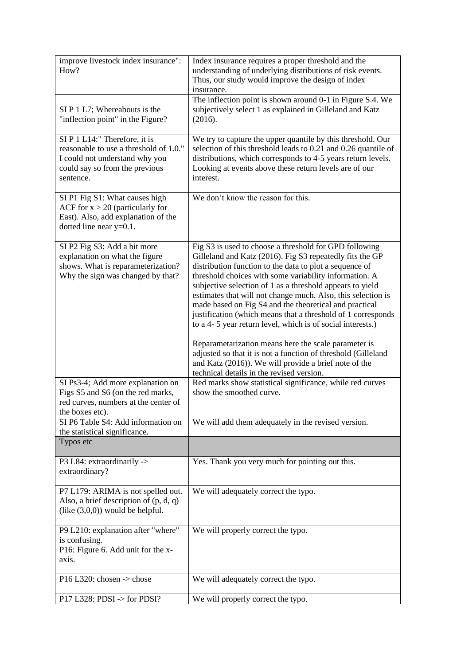| improve livestock index insurance":<br>How?                                                                                                              | Index insurance requires a proper threshold and the<br>understanding of underlying distributions of risk events.<br>Thus, our study would improve the design of index<br>insurance.                                                                                                                                                                                                                                                                                                                                                                                                                                                                                                    |
|----------------------------------------------------------------------------------------------------------------------------------------------------------|----------------------------------------------------------------------------------------------------------------------------------------------------------------------------------------------------------------------------------------------------------------------------------------------------------------------------------------------------------------------------------------------------------------------------------------------------------------------------------------------------------------------------------------------------------------------------------------------------------------------------------------------------------------------------------------|
| $SI P 1 L7$ ; Whereabouts is the<br>"inflection point" in the Figure?                                                                                    | The inflection point is shown around 0-1 in Figure S.4. We<br>subjectively select 1 as explained in Gilleland and Katz<br>(2016).                                                                                                                                                                                                                                                                                                                                                                                                                                                                                                                                                      |
| SI P 1 L14:" Therefore, it is<br>reasonable to use a threshold of 1.0."<br>I could not understand why you<br>could say so from the previous<br>sentence. | We try to capture the upper quantile by this threshold. Our<br>selection of this threshold leads to 0.21 and 0.26 quantile of<br>distributions, which corresponds to 4-5 years return levels.<br>Looking at events above these return levels are of our<br>interest.                                                                                                                                                                                                                                                                                                                                                                                                                   |
| SI P1 Fig S1: What causes high<br>ACF for $x > 20$ (particularly for<br>East). Also, add explanation of the<br>dotted line near $y=0.1$ .                | We don't know the reason for this.                                                                                                                                                                                                                                                                                                                                                                                                                                                                                                                                                                                                                                                     |
| SI P2 Fig S3: Add a bit more<br>explanation on what the figure<br>shows. What is reparameterization?<br>Why the sign was changed by that?                | Fig S3 is used to choose a threshold for GPD following<br>Gilleland and Katz (2016). Fig S3 repeatedly fits the GP<br>distribution function to the data to plot a sequence of<br>threshold choices with some variability information. A<br>subjective selection of 1 as a threshold appears to yield<br>estimates that will not change much. Also, this selection is<br>made based on Fig S4 and the theoretical and practical<br>justification (which means that a threshold of 1 corresponds<br>to a 4- 5 year return level, which is of social interests.)<br>Reparametarization means here the scale parameter is<br>adjusted so that it is not a function of threshold (Gilleland |
|                                                                                                                                                          | and Katz (2016)). We will provide a brief note of the<br>technical details in the revised version.                                                                                                                                                                                                                                                                                                                                                                                                                                                                                                                                                                                     |
| SI Ps3-4; Add more explanation on<br>Figs S5 and S6 (on the red marks,<br>red curves, numbers at the center of<br>the boxes etc).                        | Red marks show statistical significance, while red curves<br>show the smoothed curve.                                                                                                                                                                                                                                                                                                                                                                                                                                                                                                                                                                                                  |
| SI P6 Table S4: Add information on<br>the statistical significance.                                                                                      | We will add them adequately in the revised version.                                                                                                                                                                                                                                                                                                                                                                                                                                                                                                                                                                                                                                    |
| Typos etc                                                                                                                                                |                                                                                                                                                                                                                                                                                                                                                                                                                                                                                                                                                                                                                                                                                        |
| P3 L84: extraordinarily -><br>extraordinary?                                                                                                             | Yes. Thank you very much for pointing out this.                                                                                                                                                                                                                                                                                                                                                                                                                                                                                                                                                                                                                                        |
| P7 L179: ARIMA is not spelled out.<br>Also, a brief description of (p, d, q)<br>$(like (3,0,0))$ would be helpful.                                       | We will adequately correct the typo.                                                                                                                                                                                                                                                                                                                                                                                                                                                                                                                                                                                                                                                   |
| P9 L210: explanation after "where"<br>is confusing.<br>P16: Figure 6. Add unit for the x-<br>axis.                                                       | We will properly correct the typo.                                                                                                                                                                                                                                                                                                                                                                                                                                                                                                                                                                                                                                                     |
| P16 L320: chosen $\rightarrow$ chose                                                                                                                     | We will adequately correct the typo.                                                                                                                                                                                                                                                                                                                                                                                                                                                                                                                                                                                                                                                   |
| P17 L328: PDSI $\rightarrow$ for PDSI?                                                                                                                   | We will properly correct the typo.                                                                                                                                                                                                                                                                                                                                                                                                                                                                                                                                                                                                                                                     |